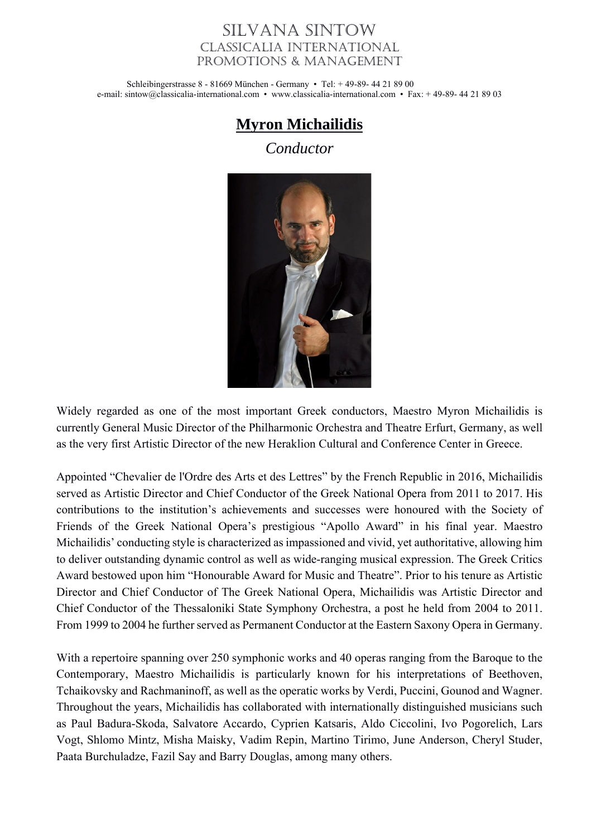## Silvana Sintow Classicalia International Promotions & Management

Schleibingerstrasse 8 - 81669 München - Germany • Tel: + 49-89- 44 21 89 00 e-mail: sintow@classicalia-international.com • www.classicalia-international.com • Fax: + 49-89- 44 21 89 03

## **Myron Michailidis**

*Conductor*



Widely regarded as one of the most important Greek conductors, Maestro Myron Michailidis is currently General Music Director of the Philharmonic Orchestra and Theatre Erfurt, Germany, as well as the very first Artistic Director of the new Heraklion Cultural and Conference Center in Greece.

Appointed "Chevalier de l'Ordre des Arts et des Lettres" by the French Republic in 2016, Michailidis served as Artistic Director and Chief Conductor of the Greek National Opera from 2011 to 2017. His contributions to the institution's achievements and successes were honoured with the Society of Friends of the Greek National Opera's prestigious "Apollo Award" in his final year. Maestro Michailidis' conducting style is characterized as impassioned and vivid, yet authoritative, allowing him to deliver outstanding dynamic control as well as wide-ranging musical expression. The Greek Critics Award bestowed upon him "Honourable Award for Music and Theatre". Prior to his tenure as Artistic Director and Chief Conductor of The Greek National Opera, Michailidis was Artistic Director and Chief Conductor of the Thessaloniki State Symphony Orchestra, a post he held from 2004 to 2011. From 1999 to 2004 he further served as Permanent Conductor at the Eastern Saxony Opera in Germany.

With a repertoire spanning over 250 symphonic works and 40 operas ranging from the Baroque to the Contemporary, Maestro Michailidis is particularly known for his interpretations of Beethoven, Tchaikovsky and Rachmaninoff, as well as the operatic works by Verdi, Puccini, Gounod and Wagner. Throughout the years, Michailidis has collaborated with internationally distinguished musicians such as Paul Badura-Skoda, Salvatore Accardo, Cyprien Katsaris, Aldo Ciccolini, Ivo Pogorelich, Lars Vogt, Shlomo Mintz, Misha Maisky, Vadim Repin, Martino Tirimo, June Anderson, Cheryl Studer, Paata Burchuladze, Fazil Say and Barry Douglas, among many others.